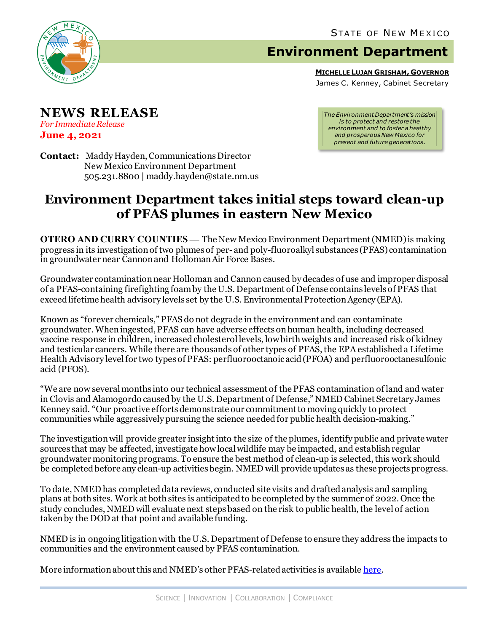

## **Environment Department**

**MICHELLE LUJAN GRISHAM, GOVERNOR**

James C. Kenney, Cabinet Secretary

**NEWS RELEASE** *For Immediate Release* **June 4, 2021**

*The Environment Department's mission is to protect and restore the environment and to foster a healthy and prosperous New Mexico for present and future generations.*

**Contact:** Maddy Hayden, Communications Director New Mexico Environment Department 505.231.8800 | maddy.hayden@state.nm.us

## **Environment Department takes initial steps toward clean-up of PFAS plumes in eastern New Mexico**

**OTERO AND CURRY COUNTIES —** The New Mexico Environment Department (NMED) is making progress in its investigation of two plumes of per-and poly-fluoroalkyl substances (PFAS) contamination in groundwater near Cannon and Holloman Air Force Bases.

Groundwater contamination near Holloman and Cannon caused by decades of use and improper disposal of a PFAS-containing firefighting foam by the U.S. Department of Defense contains levels of PFAS that exceed lifetime health advisory levels set by the U.S. Environmental Protection Agency (EPA).

Known as "forever chemicals," PFAS do not degrade in the environment and can contaminate groundwater. When ingested, PFAS can have adverse effects on human health, including decreased vaccine response in children, increased cholesterol levels, lowbirth weights and increased risk of kidney and testicular cancers. While there are thousands of other types of PFAS, the EPA established a Lifetime Health Advisory level for two types of PFAS: perfluorooctanoic acid (PFOA) and perfluorooctanesulfonic acid (PFOS).

"We are now several months into our technical assessment of the PFAS contamination of land and water in Clovis and Alamogordo caused by the U.S. Department of Defense," NMED Cabinet Secretary James Kenney said. "Our proactive efforts demonstrate our commitment to moving quickly to protect communities while aggressively pursuing the science needed for public health decision-making."

The investigation will provide greater insight into the size of the plumes, identify public and private water sources that may be affected, investigate how local wildlife may be impacted, and establish regular groundwater monitoring programs. To ensure the best method of clean-up is selected, this work should be completed before any clean-up activities begin. NMED will provide updates as these projects progress.

To date, NMED has completed data reviews, conducted site visits and drafted analysis and sampling plans at both sites. Work at both sites is anticipated to be completed by the summer of 2022. Once the study concludes, NMED will evaluate next steps based on the risk to public health, the level of action taken by the DOD at that point and available funding.

NMED is in ongoing litigation with the U.S. Department of Defense to ensure they address the impacts to communities and the environment caused by PFAS contamination.

More information about this and NMED's other PFAS-related activities is available [here.](https://www.env.nm.gov/pfas/data/)